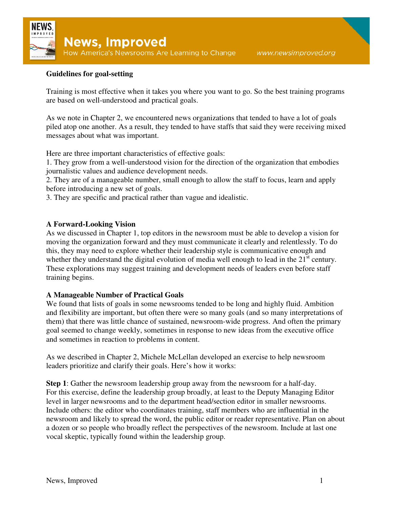

## **Guidelines for goal-setting**

Training is most effective when it takes you where you want to go. So the best training programs are based on well-understood and practical goals.

As we note in Chapter 2, we encountered news organizations that tended to have a lot of goals piled atop one another. As a result, they tended to have staffs that said they were receiving mixed messages about what was important.

Here are three important characteristics of effective goals:

1. They grow from a well-understood vision for the direction of the organization that embodies journalistic values and audience development needs.

2. They are of a manageable number, small enough to allow the staff to focus, learn and apply before introducing a new set of goals.

3. They are specific and practical rather than vague and idealistic.

## **A Forward-Looking Vision**

As we discussed in Chapter 1, top editors in the newsroom must be able to develop a vision for moving the organization forward and they must communicate it clearly and relentlessly. To do this, they may need to explore whether their leadership style is communicative enough and whether they understand the digital evolution of media well enough to lead in the 21<sup>st</sup> century. These explorations may suggest training and development needs of leaders even before staff training begins.

## **A Manageable Number of Practical Goals**

We found that lists of goals in some newsrooms tended to be long and highly fluid. Ambition and flexibility are important, but often there were so many goals (and so many interpretations of them) that there was little chance of sustained, newsroom-wide progress. And often the primary goal seemed to change weekly, sometimes in response to new ideas from the executive office and sometimes in reaction to problems in content.

As we described in Chapter 2, Michele McLellan developed an exercise to help newsroom leaders prioritize and clarify their goals. Here's how it works:

**Step 1**: Gather the newsroom leadership group away from the newsroom for a half-day. For this exercise, define the leadership group broadly, at least to the Deputy Managing Editor level in larger newsrooms and to the department head/section editor in smaller newsrooms. Include others: the editor who coordinates training, staff members who are influential in the newsroom and likely to spread the word, the public editor or reader representative. Plan on about a dozen or so people who broadly reflect the perspectives of the newsroom. Include at last one vocal skeptic, typically found within the leadership group.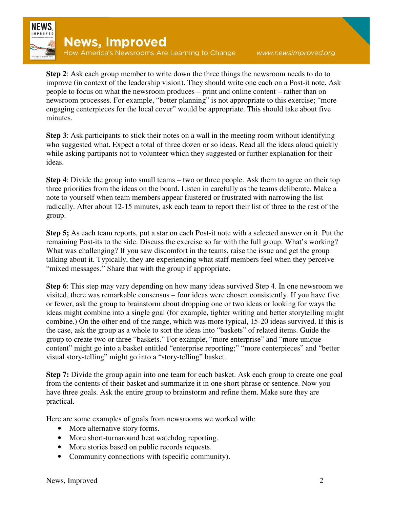

**Step 2**: Ask each group member to write down the three things the newsroom needs to do to improve (in context of the leadership vision). They should write one each on a Post-it note. Ask people to focus on what the newsroom produces – print and online content – rather than on newsroom processes. For example, "better planning" is not appropriate to this exercise; "more engaging centerpieces for the local cover" would be appropriate. This should take about five minutes.

**Step 3**: Ask participants to stick their notes on a wall in the meeting room without identifying who suggested what. Expect a total of three dozen or so ideas. Read all the ideas aloud quickly while asking partipants not to volunteer which they suggested or further explanation for their ideas.

**Step 4**: Divide the group into small teams – two or three people. Ask them to agree on their top three priorities from the ideas on the board. Listen in carefully as the teams deliberate. Make a note to yourself when team members appear flustered or frustrated with narrowing the list radically. After about 12-15 minutes, ask each team to report their list of three to the rest of the group.

**Step 5;** As each team reports, put a star on each Post-it note with a selected answer on it. Put the remaining Post-its to the side. Discuss the exercise so far with the full group. What's working? What was challenging? If you saw discomfort in the teams, raise the issue and get the group talking about it. Typically, they are experiencing what staff members feel when they perceive "mixed messages." Share that with the group if appropriate.

**Step 6**: This step may vary depending on how many ideas survived Step 4. In one newsroom we visited, there was remarkable consensus – four ideas were chosen consistently. If you have five or fewer, ask the group to brainstorm about dropping one or two ideas or looking for ways the ideas might combine into a single goal (for example, tighter writing and better storytelling might combine.) On the other end of the range, which was more typical, 15-20 ideas survived. If this is the case, ask the group as a whole to sort the ideas into "baskets" of related items. Guide the group to create two or three "baskets." For example, "more enterprise" and "more unique content" might go into a basket entitled "enterprise reporting;" "more centerpieces" and "better visual story-telling" might go into a "story-telling" basket.

**Step 7:** Divide the group again into one team for each basket. Ask each group to create one goal from the contents of their basket and summarize it in one short phrase or sentence. Now you have three goals. Ask the entire group to brainstorm and refine them. Make sure they are practical.

Here are some examples of goals from newsrooms we worked with:

- More alternative story forms.
- More short-turnaround beat watchdog reporting.
- More stories based on public records requests.
- Community connections with (specific community).